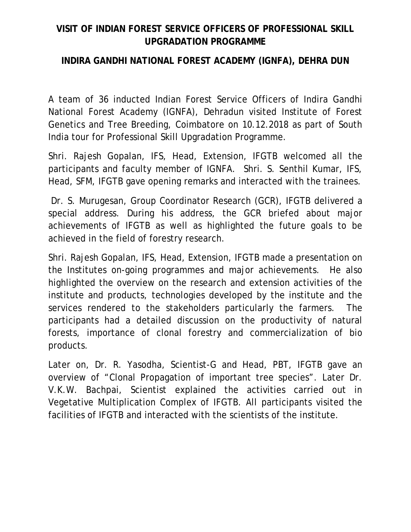## **VISIT OF INDIAN FOREST SERVICE OFFICERS OF PROFESSIONAL SKILL UPGRADATION PROGRAMME**

## **INDIRA GANDHI NATIONAL FOREST ACADEMY (IGNFA), DEHRA DUN**

A team of 36 inducted Indian Forest Service Officers of Indira Gandhi National Forest Academy (IGNFA), Dehradun visited Institute of Forest Genetics and Tree Breeding, Coimbatore on 10.12.2018 as part of South India tour for Professional Skill Upgradation Programme.

Shri. Rajesh Gopalan, IFS, Head, Extension, IFGTB welcomed all the participants and faculty member of IGNFA. Shri. S. Senthil Kumar, IFS, Head, SFM, IFGTB gave opening remarks and interacted with the trainees.

Dr. S. Murugesan, Group Coordinator Research (GCR), IFGTB delivered a special address. During his address, the GCR briefed about major achievements of IFGTB as well as highlighted the future goals to be achieved in the field of forestry research.

Shri. Rajesh Gopalan, IFS, Head, Extension, IFGTB made a presentation on the Institutes on-going programmes and major achievements. He also highlighted the overview on the research and extension activities of the institute and products, technologies developed by the institute and the services rendered to the stakeholders particularly the farmers. The participants had a detailed discussion on the productivity of natural forests, importance of clonal forestry and commercialization of bio products.

Later on, Dr. R. Yasodha, Scientist-G and Head, PBT, IFGTB gave an overview of "Clonal Propagation of important tree species". Later Dr. V.K.W. Bachpai, Scientist explained the activities carried out in Vegetative Multiplication Complex of IFGTB. All participants visited the facilities of IFGTB and interacted with the scientists of the institute.